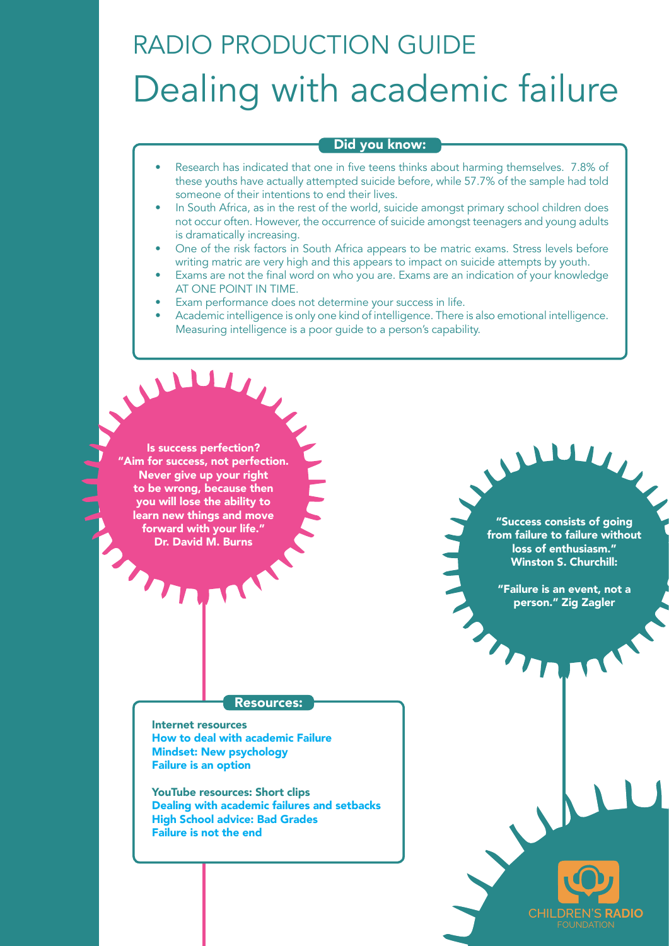## RADIO PRODUCTION GUIDE Dealing with academic failure

## Did you know:

- Research has indicated that one in five teens thinks about harming themselves. 7.8% of these youths have actually attempted suicide before, while 57.7% of the sample had told someone of their intentions to end their lives.
- In South Africa, as in the rest of the world, suicide amongst primary school children does not occur often. However, the occurrence of suicide amongst teenagers and young adults is dramatically increasing.
- One of the risk factors in South Africa appears to be matric exams. Stress levels before writing matric are very high and this appears to impact on suicide attempts by youth.
- Exams are not the final word on who you are. Exams are an indication of your knowledge AT ONE POINT IN TIME.
- Exam performance does not determine your success in life.
- Academic intelligence is only one kind of intelligence. There is also emotional intelligence. Measuring intelligence is a poor guide to a person's capability.

Is success perfection? "Aim for success, not perfection. Never give up your right to be wrong, because then you will lose the ability to learn new things and move forward with your life." Dr. David M. Burns

Resources:

Internet resources [How to deal with academic Failure](http://www.wikihow.com/Cope-with-Academic-Failure) [Mindset: New psychology](http://sourcesofinsight.com/10-big-ideas-from-mindset-the-new-psychology-of-success/) [Failure is an option](https://www.timeshighereducation.com/blog/failure-option-six-ways-deal-it)

YouTube resources: Short clips [Dealing with academic failures and setbacks](https://www.youtube.com/watch?v=sVSZ8M0ZTyk) [High School advice: Bad Grades](https://www.youtube.com/watch?v=1UJmpFKcLwQ) [Failure is not the end](https://www.youtube.com/watch?v=BncX9I54W-g)

"Success consists of going from failure to failure without loss of enthusiasm." Winston S. Churchill:

 $\mathbf{L}$ 

"Failure is an event, not a person." Zig Zagler